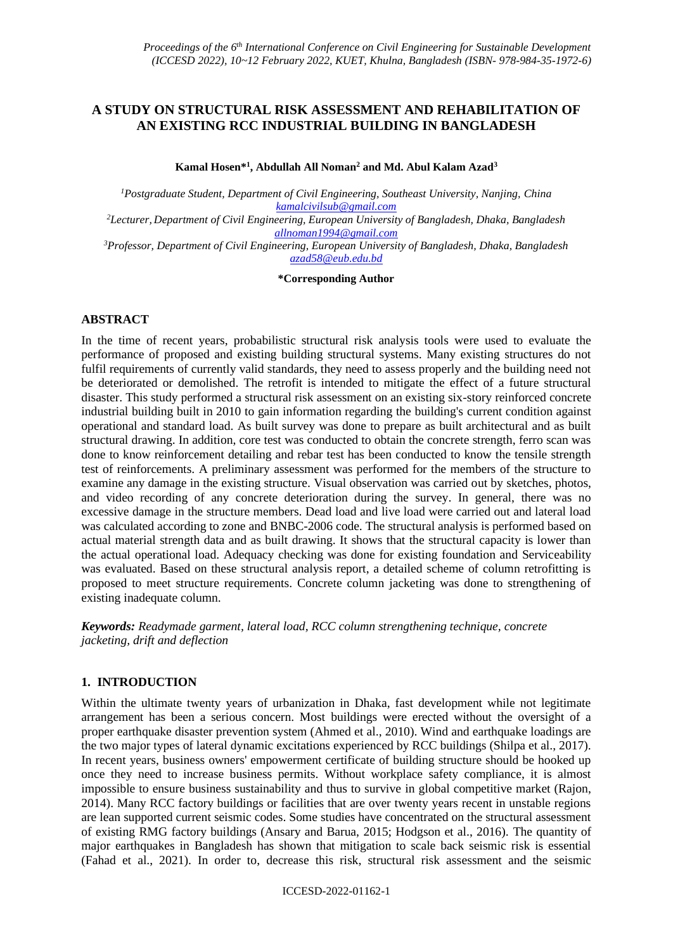# **A STUDY ON STRUCTURAL RISK ASSESSMENT AND REHABILITATION OF AN EXISTING RCC INDUSTRIAL BUILDING IN BANGLADESH**

**Kamal Hosen\* 1 , Abdullah All Noman<sup>2</sup> and Md. Abul Kalam Azad<sup>3</sup>**

*<sup>1</sup>Postgraduate Student, Department of Civil Engineering, Southeast University, Nanjing, China [kamalcivilsub@gmail.com](mailto:kamalcivilsub@gmail.com) <sup>2</sup>Lecturer, Department of Civil Engineering, European University of Bangladesh, Dhaka, Bangladesh [allnoman1994@gmail.com](mailto:allnoman1994@gmail.com) <sup>3</sup>Professor, Department of Civil Engineering, European University of Bangladesh, Dhaka, Bangladesh*

> *[azad58@eub.edu.bd](mailto:azad58@eub.edu.bd)* **\*Corresponding Author**

# **ABSTRACT**

In the time of recent years, probabilistic structural risk analysis tools were used to evaluate the performance of proposed and existing building structural systems. Many existing structures do not fulfil requirements of currently valid standards, they need to assess properly and the building need not be deteriorated or demolished. The retrofit is intended to mitigate the effect of a future structural disaster. This study performed a structural risk assessment on an existing six-story reinforced concrete industrial building built in 2010 to gain information regarding the building's current condition against operational and standard load. As built survey was done to prepare as built architectural and as built structural drawing. In addition, core test was conducted to obtain the concrete strength, ferro scan was done to know reinforcement detailing and rebar test has been conducted to know the tensile strength test of reinforcements. A preliminary assessment was performed for the members of the structure to examine any damage in the existing structure. Visual observation was carried out by sketches, photos, and video recording of any concrete deterioration during the survey. In general, there was no excessive damage in the structure members. Dead load and live load were carried out and lateral load was calculated according to zone and BNBC-2006 code. The structural analysis is performed based on actual material strength data and as built drawing. It shows that the structural capacity is lower than the actual operational load. Adequacy checking was done for existing foundation and Serviceability was evaluated. Based on these structural analysis report, a detailed scheme of column retrofitting is proposed to meet structure requirements. Concrete column jacketing was done to strengthening of existing inadequate column.

*Keywords: Readymade garment, lateral load, RCC column strengthening technique, concrete jacketing, drift and deflection*

# **1. INTRODUCTION**

Within the ultimate twenty years of urbanization in Dhaka, fast development while not legitimate arrangement has been a serious concern. Most buildings were erected without the oversight of a proper earthquake disaster prevention system (Ahmed et al., 2010). Wind and earthquake loadings are the two major types of lateral dynamic excitations experienced by RCC buildings (Shilpa et al., 2017). In recent years, business owners' empowerment certificate of building structure should be hooked up once they need to increase business permits. Without workplace safety compliance, it is almost impossible to ensure business sustainability and thus to survive in global competitive market (Rajon, 2014). Many RCC factory buildings or facilities that are over twenty years recent in unstable regions are lean supported current seismic codes. Some studies have concentrated on the structural assessment of existing RMG factory buildings (Ansary and Barua, 2015; Hodgson et al., 2016). The quantity of major earthquakes in Bangladesh has shown that mitigation to scale back seismic risk is essential (Fahad et al., 2021). In order to, decrease this risk, structural risk assessment and the seismic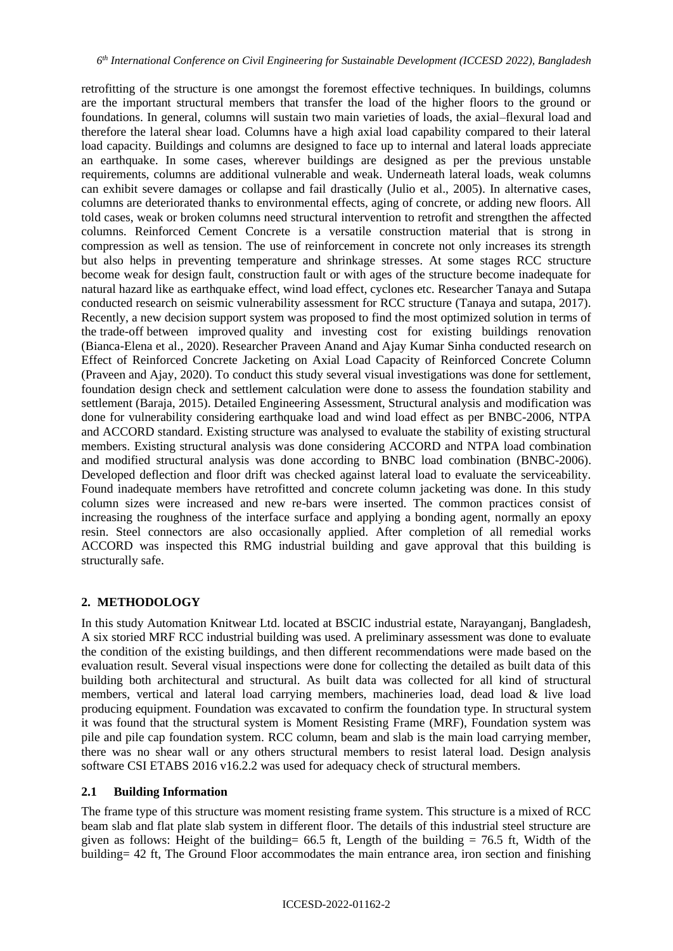retrofitting of the structure is one amongst the foremost effective techniques. In buildings, columns are the important structural members that transfer the load of the higher floors to the ground or foundations. In general, columns will sustain two main varieties of loads, the axial–flexural load and therefore the lateral shear load. Columns have a high axial load capability compared to their lateral load capacity. Buildings and columns are designed to face up to internal and lateral loads appreciate an earthquake. In some cases, wherever buildings are designed as per the previous unstable requirements, columns are additional vulnerable and weak. Underneath lateral loads, weak columns can exhibit severe damages or collapse and fail drastically (Julio et al., 2005). In alternative cases, columns are deteriorated thanks to environmental effects, aging of concrete, or adding new floors. All told cases, weak or broken columns need structural intervention to retrofit and strengthen the affected columns. Reinforced Cement Concrete is a versatile construction material that is strong in compression as well as tension. The use of reinforcement in concrete not only increases its strength but also helps in preventing temperature and shrinkage stresses. At some stages RCC structure become weak for design fault, construction fault or with ages of the structure become inadequate for natural hazard like as earthquake effect, wind load effect, cyclones etc. Researcher Tanaya and Sutapa conducted research on seismic vulnerability assessment for RCC structure (Tanaya and sutapa, 2017). Recently, a new decision support system was proposed to find the most optimized solution in terms of the trade-off between improved quality and investing cost for existing buildings renovation (Bianca-Elena et al., 2020). Researcher Praveen Anand and Ajay Kumar Sinha conducted research on Effect of Reinforced Concrete Jacketing on Axial Load Capacity of Reinforced Concrete Column (Praveen and Ajay, 2020). To conduct this study several visual investigations was done for settlement, foundation design check and settlement calculation were done to assess the foundation stability and settlement (Baraja, 2015). Detailed Engineering Assessment, Structural analysis and modification was done for vulnerability considering earthquake load and wind load effect as per BNBC-2006, NTPA and ACCORD standard. Existing structure was analysed to evaluate the stability of existing structural members. Existing structural analysis was done considering ACCORD and NTPA load combination and modified structural analysis was done according to BNBC load combination (BNBC-2006). Developed deflection and floor drift was checked against lateral load to evaluate the serviceability. Found inadequate members have retrofitted and concrete column jacketing was done. In this study column sizes were increased and new re-bars were inserted. The common practices consist of increasing the roughness of the interface surface and applying a bonding agent, normally an epoxy resin. Steel connectors are also occasionally applied. After completion of all remedial works ACCORD was inspected this RMG industrial building and gave approval that this building is structurally safe.

# **2. METHODOLOGY**

In this study Automation Knitwear Ltd. located at BSCIC industrial estate, Narayanganj, Bangladesh, A six storied MRF RCC industrial building was used. A preliminary assessment was done to evaluate the condition of the existing buildings, and then different recommendations were made based on the evaluation result. Several visual inspections were done for collecting the detailed as built data of this building both architectural and structural. As built data was collected for all kind of structural members, vertical and lateral load carrying members, machineries load, dead load & live load producing equipment. Foundation was excavated to confirm the foundation type. In structural system it was found that the structural system is Moment Resisting Frame (MRF), Foundation system was pile and pile cap foundation system. RCC column, beam and slab is the main load carrying member, there was no shear wall or any others structural members to resist lateral load. Design analysis software CSI ETABS 2016 v16.2.2 was used for adequacy check of structural members.

# **2.1 Building Information**

The frame type of this structure was moment resisting frame system. This structure is a mixed of RCC beam slab and flat plate slab system in different floor. The details of this industrial steel structure are given as follows: Height of the building=  $66.5$  ft, Length of the building =  $76.5$  ft, Width of the building= 42 ft, The Ground Floor accommodates the main entrance area, iron section and finishing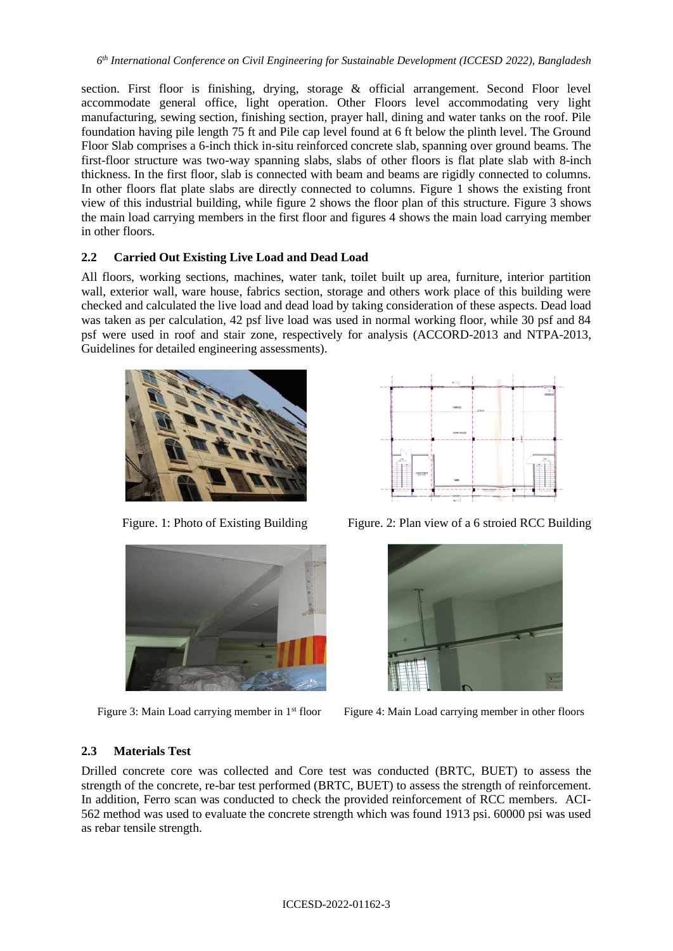section. First floor is finishing, drying, storage & official arrangement. Second Floor level accommodate general office, light operation. Other Floors level accommodating very light manufacturing, sewing section, finishing section, prayer hall, dining and water tanks on the roof. Pile foundation having pile length 75 ft and Pile cap level found at 6 ft below the plinth level. The Ground Floor Slab comprises a 6-inch thick in-situ reinforced concrete slab, spanning over ground beams. The first-floor structure was two-way spanning slabs, slabs of other floors is flat plate slab with 8-inch thickness. In the first floor, slab is connected with beam and beams are rigidly connected to columns. In other floors flat plate slabs are directly connected to columns. Figure 1 shows the existing front view of this industrial building, while figure 2 shows the floor plan of this structure. Figure 3 shows the main load carrying members in the first floor and figures 4 shows the main load carrying member in other floors.

# **2.2 Carried Out Existing Live Load and Dead Load**

All floors, working sections, machines, water tank, toilet built up area, furniture, interior partition wall, exterior wall, ware house, fabrics section, storage and others work place of this building were checked and calculated the live load and dead load by taking consideration of these aspects. Dead load was taken as per calculation, 42 psf live load was used in normal working floor, while 30 psf and 84 psf were used in roof and stair zone, respectively for analysis (ACCORD-2013 and NTPA-2013, Guidelines for detailed engineering assessments).







Figure. 1: Photo of Existing Building Figure. 2: Plan view of a 6 stroied RCC Building



Figure 3: Main Load carrying member in 1<sup>st</sup> floor Figure 4: Main Load carrying member in other floors

# **2.3 Materials Test**

Drilled concrete core was collected and Core test was conducted (BRTC, BUET) to assess the strength of the concrete, re-bar test performed (BRTC, BUET) to assess the strength of reinforcement. In addition, Ferro scan was conducted to check the provided reinforcement of RCC members. ACI-562 method was used to evaluate the concrete strength which was found 1913 psi. 60000 psi was used as rebar tensile strength.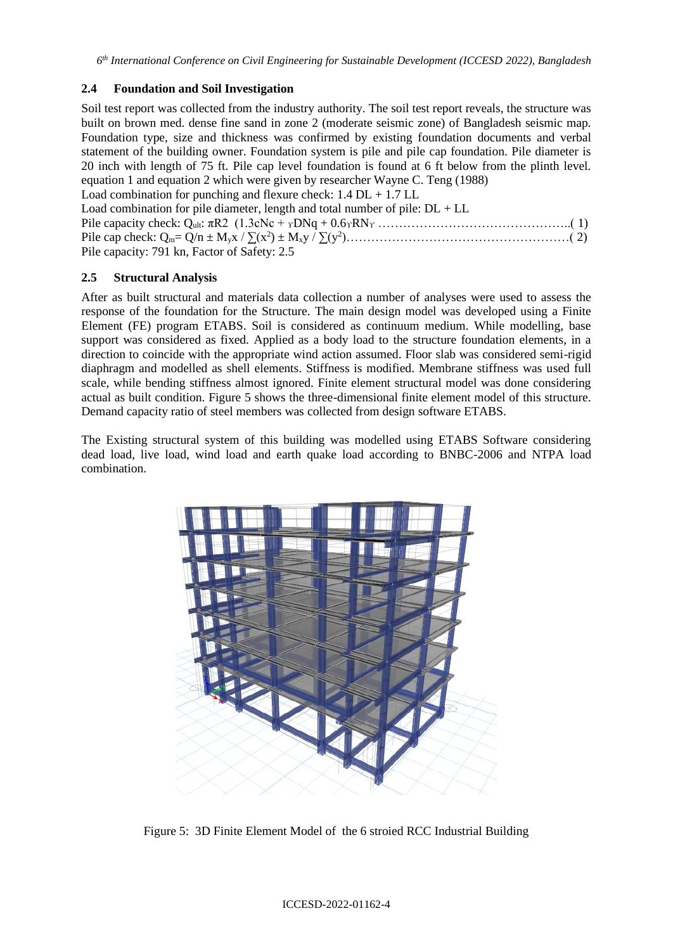# **2.4 Foundation and Soil Investigation**

Soil test report was collected from the industry authority. The soil test report reveals, the structure was built on brown med. dense fine sand in zone 2 (moderate seismic zone) of Bangladesh seismic map. Foundation type, size and thickness was confirmed by existing foundation documents and verbal statement of the building owner. Foundation system is pile and pile cap foundation. Pile diameter is 20 inch with length of 75 ft. Pile cap level foundation is found at 6 ft below from the plinth level. equation 1 and equation 2 which were given by researcher Wayne C. Teng (1988) Load combination for punching and flexure check:  $1.4$  DL  $+ 1.7$  LL

Load combination for pile diameter, length and total number of pile:  $DL + LL$ Pile capacity check: Qult: πR2 (1.3cNc + ϒDNq + 0.6ϒRN<sup>ϒ</sup> ………………………………………..( 1) Pile cap check: Qm= Q/n ± Myx / ∑(x<sup>2</sup> ) ± Mxy / ∑(y<sup>2</sup> )………………………………………………( 2) Pile capacity: 791 kn, Factor of Safety: 2.5

# **2.5 Structural Analysis**

After as built structural and materials data collection a number of analyses were used to assess the response of the foundation for the Structure. The main design model was developed using a Finite Element (FE) program ETABS. Soil is considered as continuum medium. While modelling, base support was considered as fixed. Applied as a body load to the structure foundation elements, in a direction to coincide with the appropriate wind action assumed. Floor slab was considered semi-rigid diaphragm and modelled as shell elements. Stiffness is modified. Membrane stiffness was used full scale, while bending stiffness almost ignored. Finite element structural model was done considering actual as built condition. Figure 5 shows the three-dimensional finite element model of this structure. Demand capacity ratio of steel members was collected from design software ETABS.

The Existing structural system of this building was modelled using ETABS Software considering dead load, live load, wind load and earth quake load according to BNBC-2006 and NTPA load combination.



Figure 5: 3D Finite Element Model of the 6 stroied RCC Industrial Building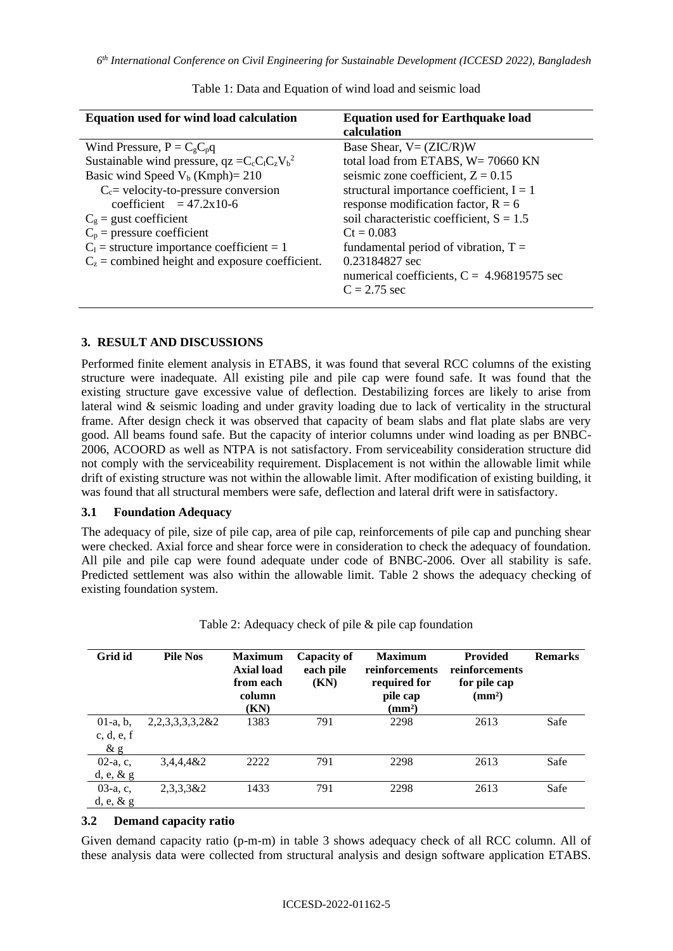| Equation used for wind load calculation                                                                                                                                                                                                                                                                                                                          | <b>Equation used for Earthquake load</b><br>calculation                                                                                                                                                                                                                                                                                                                                     |
|------------------------------------------------------------------------------------------------------------------------------------------------------------------------------------------------------------------------------------------------------------------------------------------------------------------------------------------------------------------|---------------------------------------------------------------------------------------------------------------------------------------------------------------------------------------------------------------------------------------------------------------------------------------------------------------------------------------------------------------------------------------------|
| Wind Pressure, $P = CgCpq$<br>Sustainable wind pressure, $qz = C_c C_l C_z V_b^2$<br>Basic wind Speed $V_b$ (Kmph)= 210<br>$C_c$ = velocity-to-pressure conversion<br>coefficient $= 47.2x10-6$<br>$C_g$ = gust coefficient<br>$C_p$ = pressure coefficient<br>$C_1$ = structure importance coefficient = 1<br>$C_z$ = combined height and exposure coefficient. | Base Shear, $V = (ZIC/R)W$<br>total load from ETABS, W= 70660 KN<br>seismic zone coefficient, $Z = 0.15$<br>structural importance coefficient, $I = 1$<br>response modification factor, $R = 6$<br>soil characteristic coefficient, $S = 1.5$<br>$Ct = 0.083$<br>fundamental period of vibration, $T =$<br>0.23184827 sec<br>numerical coefficients, $C = 4.96819575$ sec<br>$C = 2.75$ sec |
|                                                                                                                                                                                                                                                                                                                                                                  |                                                                                                                                                                                                                                                                                                                                                                                             |

Table 1: Data and Equation of wind load and seismic load

# **3. RESULT AND DISCUSSIONS**

Performed finite element analysis in ETABS, it was found that several RCC columns of the existing structure were inadequate. All existing pile and pile cap were found safe. It was found that the existing structure gave excessive value of deflection. Destabilizing forces are likely to arise from lateral wind & seismic loading and under gravity loading due to lack of verticality in the structural frame. After design check it was observed that capacity of beam slabs and flat plate slabs are very good. All beams found safe. But the capacity of interior columns under wind loading as per BNBC-2006, ACOORD as well as NTPA is not satisfactory. From serviceability consideration structure did not comply with the serviceability requirement. Displacement is not within the allowable limit while drift of existing structure was not within the allowable limit. After modification of existing building, it was found that all structural members were safe, deflection and lateral drift were in satisfactory.

#### **3.1 Foundation Adequacy**

The adequacy of pile, size of pile cap, area of pile cap, reinforcements of pile cap and punching shear were checked. Axial force and shear force were in consideration to check the adequacy of foundation. All pile and pile cap were found adequate under code of BNBC-2006. Over all stability is safe. Predicted settlement was also within the allowable limit. Table 2 shows the adequacy checking of existing foundation system.

| Grid id      | <b>Pile Nos</b>        | <b>Maximum</b><br><b>Axial load</b><br>from each<br>column<br>(KN) | <b>Capacity of</b><br>each pile<br>(KN) | <b>Maximum</b><br>reinforcements<br>required for<br>pile cap<br>$(\mathbf{mm}^2)$ | <b>Provided</b><br>reinforcements<br>for pile cap<br>(mm <sup>2</sup> ) | <b>Remarks</b> |
|--------------|------------------------|--------------------------------------------------------------------|-----------------------------------------|-----------------------------------------------------------------------------------|-------------------------------------------------------------------------|----------------|
| $01-a, b,$   | 2, 2, 3, 3, 3, 3, 2& 2 | 1383                                                               | 791                                     | 2298                                                                              | 2613                                                                    | Safe           |
| c, d, e, f   |                        |                                                                    |                                         |                                                                                   |                                                                         |                |
| $\&$ g       |                        |                                                                    |                                         |                                                                                   |                                                                         |                |
| $02-a, c,$   | 3,4,4,4&2              | 2222                                                               | 791                                     | 2298                                                                              | 2613                                                                    | Safe           |
| $d, e, \& g$ |                        |                                                                    |                                         |                                                                                   |                                                                         |                |
| $03-a, c,$   | $2,3,3,3$ &2           | 1433                                                               | 791                                     | 2298                                                                              | 2613                                                                    | Safe           |
| $d, e, \& g$ |                        |                                                                    |                                         |                                                                                   |                                                                         |                |

Table 2: Adequacy check of pile & pile cap foundation

# **3.2 Demand capacity ratio**

Given demand capacity ratio (p-m-m) in table 3 shows adequacy check of all RCC column. All of these analysis data were collected from structural analysis and design software application ETABS.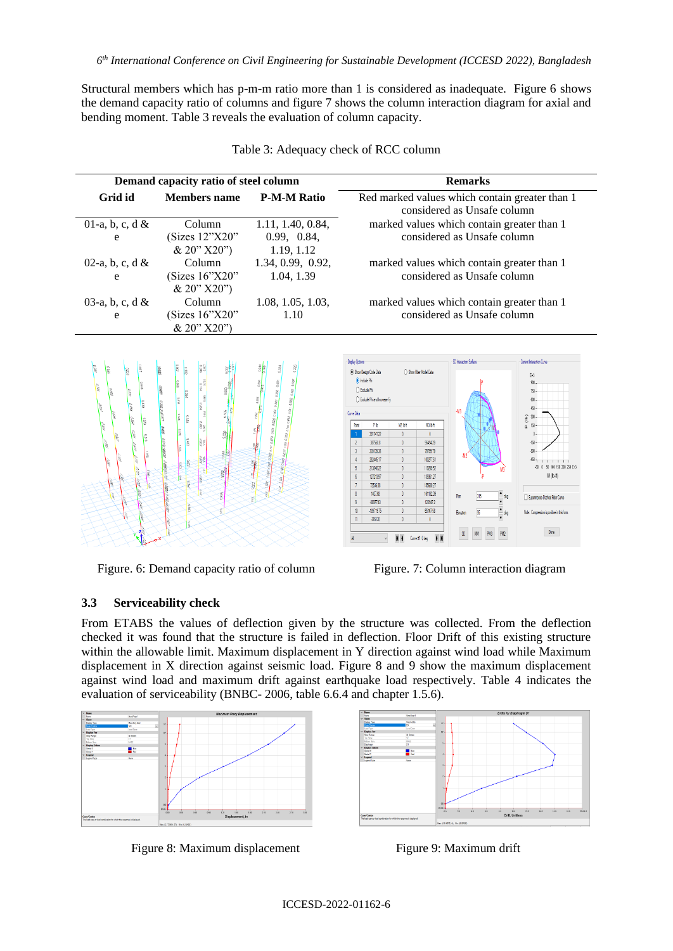Structural members which has p-m-m ratio more than 1 is considered as inadequate. Figure 6 shows the demand capacity ratio of columns and figure 7 shows the column interaction diagram for axial and bending moment. Table 3 reveals the evaluation of column capacity.

|                                          | Demand capacity ratio of steel column              |                                                | <b>Remarks</b>                                                                                                                                                                                                                                                                                                                                                                                                                                                                                                                                                                                                                                                                            |                                    |                                                                                                                                                                                                              |  |  |
|------------------------------------------|----------------------------------------------------|------------------------------------------------|-------------------------------------------------------------------------------------------------------------------------------------------------------------------------------------------------------------------------------------------------------------------------------------------------------------------------------------------------------------------------------------------------------------------------------------------------------------------------------------------------------------------------------------------------------------------------------------------------------------------------------------------------------------------------------------------|------------------------------------|--------------------------------------------------------------------------------------------------------------------------------------------------------------------------------------------------------------|--|--|
| Grid id                                  | <b>Members</b> name                                | <b>P-M-M Ratio</b>                             | Red marked values which contain greater than 1<br>considered as Unsafe column                                                                                                                                                                                                                                                                                                                                                                                                                                                                                                                                                                                                             |                                    |                                                                                                                                                                                                              |  |  |
| 01-a, b, c, d $&$<br>e                   | Column<br>(Sizes 12"X20"<br>& 20" X20")            | 1.11, 1.40, 0.84,<br>0.99, 0.84,<br>1.19, 1.12 | marked values which contain greater than 1<br>considered as Unsafe column                                                                                                                                                                                                                                                                                                                                                                                                                                                                                                                                                                                                                 |                                    |                                                                                                                                                                                                              |  |  |
| 02-a, b, c, d $&$<br>e                   | Column<br>(Sizes $16^{\circ}$ X20"<br>& 20" X20")  | 1.34, 0.99, 0.92,<br>1.04, 1.39                | marked values which contain greater than 1<br>considered as Unsafe column                                                                                                                                                                                                                                                                                                                                                                                                                                                                                                                                                                                                                 |                                    |                                                                                                                                                                                                              |  |  |
| 03-a, b, c, d $&$<br>e                   | Column<br>(Sizes $16^{\circ}$ X20")<br>& 20" X20") | 1.08, 1.05, 1.03,<br>1.10                      | marked values which contain greater than 1<br>considered as Unsafe column                                                                                                                                                                                                                                                                                                                                                                                                                                                                                                                                                                                                                 |                                    |                                                                                                                                                                                                              |  |  |
| $\frac{1}{2}$<br><b>OBS!</b><br>alu<br>š |                                                    |                                                | Display Options<br>○ Show Fiber Model Data<br>(a) Show Design Code Data<br>iii holute Phi<br>O Exclude Phi<br>○ Exclude Phi and Increase Fv<br>Curve Data<br>Pb<br>N2 bit<br>N3 bh<br>Point<br>391141.22<br>$\mathbf{0}$<br>$\mathbf{0}$<br>387550.8<br>5645429<br>$\mathbf{r}$<br>$\overline{3}$<br>339139.38<br>79795.79<br>282445.17<br>100277.61<br>$\overline{4}$<br>$\overline{5}$<br>119299.52<br>213840.22<br>127213.97<br>$\theta$<br>139361.27<br>$\sqrt{6}$<br>$\overline{7}$<br>72536.08<br>155680.27<br>1407.68<br>$\mathbf{8}$<br>161132.09<br>$\theta$<br>9<br>$-88977.43$<br>123947.2<br>10<br>$-189719.75$<br>$\theta$<br>65167.50<br>-285120<br>11<br>M 4 Curve #1 Odeg | 30 Interaction Surface<br>Bevation | Curect Interaction Curve<br>E43<br>$500 -$<br>750<br>600<br>45)<br>$\widehat{\mathbf{a}}$<br>300<br>150<br>M (lb-ft)<br>Superinocee Dashed Fiber Curve<br>Vote: Compression is positive in this form<br>Done |  |  |

Table 3: Adequacy check of RCC column

Figure. 6: Demand capacity ratio of column Figure. 7: Column interaction diagram

# **3.3 Serviceability check**

From ETABS the values of deflection given by the structure was collected. From the deflection checked it was found that the structure is failed in deflection. Floor Drift of this existing structure within the allowable limit. Maximum displacement in Y direction against wind load while Maximum displacement in X direction against seismic load. Figure 8 and 9 show the maximum displacement against wind load and maximum drift against earthquake load respectively. Table 4 indicates the evaluation of serviceability (BNBC- 2006, table 6.6.4 and chapter 1.5.6).



Figure 8: Maximum displacement Figure 9: Maximum drift

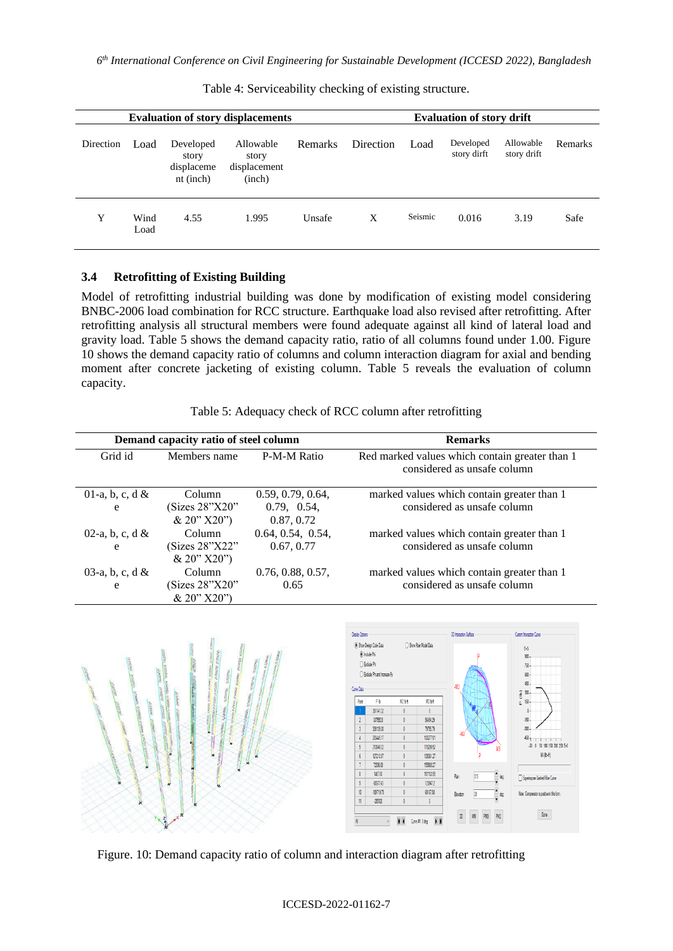| <b>Evaluation of story displacements</b> |              |                                                 |                                              | <b>Evaluation of story drift</b> |           |         |                          |                          |         |
|------------------------------------------|--------------|-------------------------------------------------|----------------------------------------------|----------------------------------|-----------|---------|--------------------------|--------------------------|---------|
| Direction                                | Load         | Developed<br>story<br>displaceme<br>$nt$ (inch) | Allowable<br>story<br>displacement<br>(inch) | <b>Remarks</b>                   | Direction | Load    | Developed<br>story dirft | Allowable<br>story drift | Remarks |
| Y                                        | Wind<br>Load | 4.55                                            | 1.995                                        | Unsafe                           | X         | Seismic | 0.016                    | 3.19                     | Safe    |

Table 4: Serviceability checking of existing structure.

## **3.4 Retrofitting of Existing Building**

Model of retrofitting industrial building was done by modification of existing model considering BNBC-2006 load combination for RCC structure. Earthquake load also revised after retrofitting. After retrofitting analysis all structural members were found adequate against all kind of lateral load and gravity load. Table 5 shows the demand capacity ratio, ratio of all columns found under 1.00. Figure 10 shows the demand capacity ratio of columns and column interaction diagram for axial and bending moment after concrete jacketing of existing column. Table 5 reveals the evaluation of column capacity.

| Table 5: Adequacy check of RCC column after retrofitting |  |
|----------------------------------------------------------|--|
|                                                          |  |

|                        | Demand capacity ratio of steel column   |                                                | <b>Remarks</b>                                                                |
|------------------------|-----------------------------------------|------------------------------------------------|-------------------------------------------------------------------------------|
| Grid id                | Members name                            | P-M-M Ratio                                    | Red marked values which contain greater than 1<br>considered as unsafe column |
| 01-a, b, c, d $&$<br>e | Column<br>(Sizes 28"X20"<br>& 20" X20") | 0.59, 0.79, 0.64,<br>0.79, 0.54,<br>0.87, 0.72 | marked values which contain greater than 1<br>considered as unsafe column     |
| 02-a, b, c, d $&$<br>e | Column<br>(Sizes 28"X22"<br>& 20" X20"  | 0.64, 0.54, 0.54,<br>0.67, 0.77                | marked values which contain greater than 1<br>considered as unsafe column     |
| 03-a, b, c, d $&$<br>e | Column<br>(Sizes 28"X20"<br>& 20" X20"  | 0.76, 0.88, 0.57,<br>0.65                      | marked values which contain greater than 1<br>considered as unsafe column     |



Figure. 10: Demand capacity ratio of column and interaction diagram after retrofitting

#### ICCESD-2022-01162-7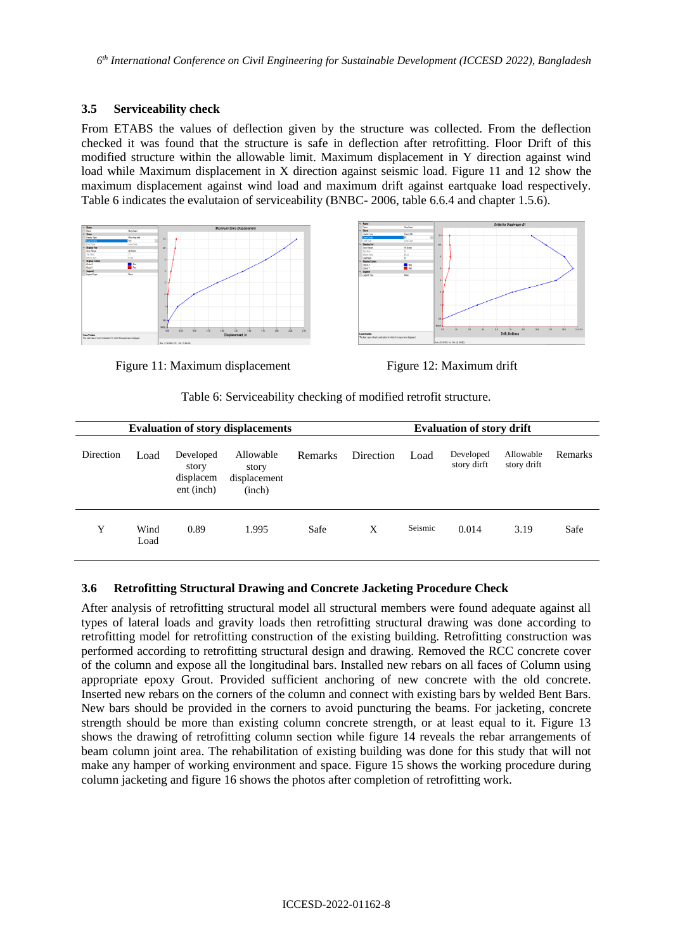### **3.5 Serviceability check**

From ETABS the values of deflection given by the structure was collected. From the deflection checked it was found that the structure is safe in deflection after retrofitting. Floor Drift of this modified structure within the allowable limit. Maximum displacement in Y direction against wind load while Maximum displacement in X direction against seismic load. Figure 11 and 12 show the maximum displacement against wind load and maximum drift against eartquake load respectively. Table 6 indicates the evalutaion of serviceability (BNBC- 2006, table 6.6.4 and chapter 1.5.6).





Figure 11: Maximum displacement Figure 12: Maximum drift

Table 6: Serviceability checking of modified retrofit structure.

| <b>Evaluation of story displacements</b> |              |                                               |                                              | <b>Evaluation of story drift</b> |           |         |                          |                          |                |
|------------------------------------------|--------------|-----------------------------------------------|----------------------------------------------|----------------------------------|-----------|---------|--------------------------|--------------------------|----------------|
| Direction                                | Load         | Developed<br>story<br>displacem<br>ent (inch) | Allowable<br>story<br>displacement<br>(inch) | Remarks                          | Direction | Load    | Developed<br>story dirft | Allowable<br>story drift | <b>Remarks</b> |
| Y                                        | Wind<br>Load | 0.89                                          | 1.995                                        | Safe                             | X         | Seismic | 0.014                    | 3.19                     | Safe           |

# **3.6 Retrofitting Structural Drawing and Concrete Jacketing Procedure Check**

After analysis of retrofitting structural model all structural members were found adequate against all types of lateral loads and gravity loads then retrofitting structural drawing was done according to retrofitting model for retrofitting construction of the existing building. Retrofitting construction was performed according to retrofitting structural design and drawing. Removed the RCC concrete cover of the column and expose all the longitudinal bars. Installed new rebars on all faces of Column using appropriate epoxy Grout. Provided sufficient anchoring of new concrete with the old concrete. Inserted new rebars on the corners of the column and connect with existing bars by welded Bent Bars. New bars should be provided in the corners to avoid puncturing the beams. For jacketing, concrete strength should be more than existing column concrete strength, or at least equal to it. Figure 13 shows the drawing of retrofitting column section while figure 14 reveals the rebar arrangements of beam column joint area. The rehabilitation of existing building was done for this study that will not make any hamper of working environment and space. Figure 15 shows the working procedure during column jacketing and figure 16 shows the photos after completion of retrofitting work.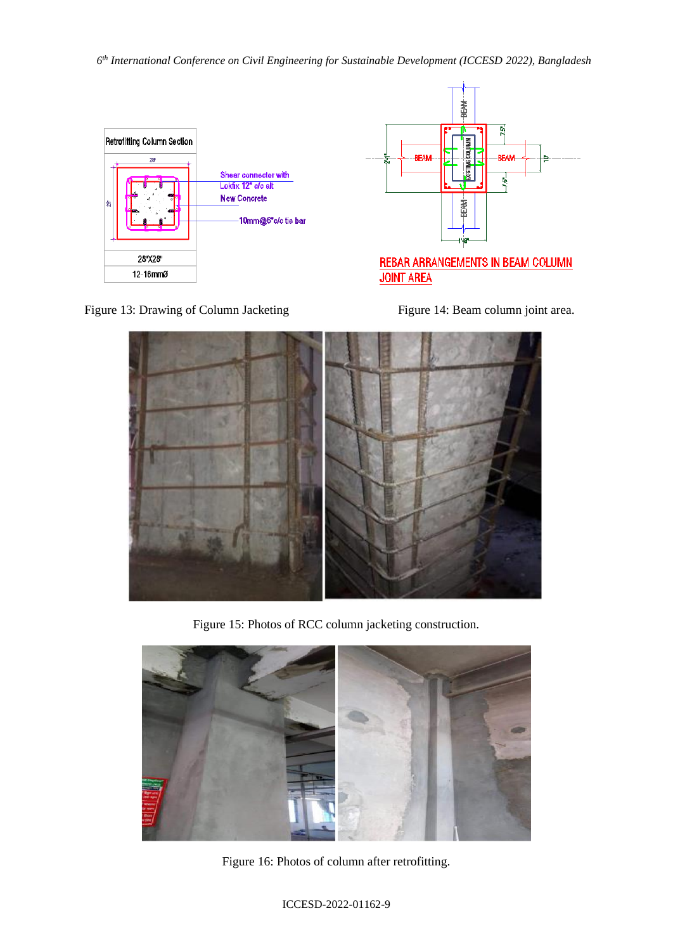



**REBAR ARRANGEMENTS IN BEAM COLUMN JOINT AREA** 





Figure 15: Photos of RCC column jacketing construction.



Figure 16: Photos of column after retrofitting.

ICCESD-2022-01162-9